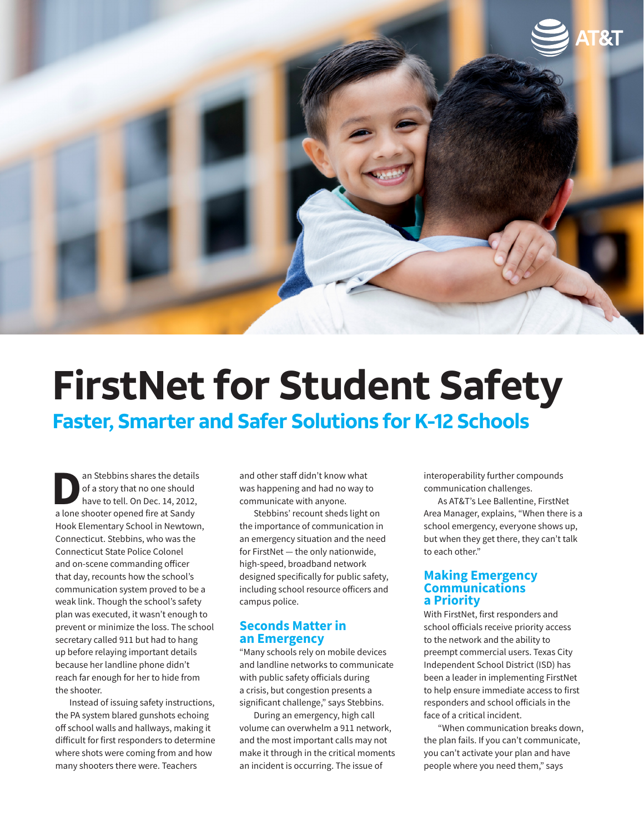

# **FirstNet for Student Safety Faster, Smarter and Safer Solutions for K-12 Schools**

an Stebbins shares the details<br>of a story that no one should<br>have to tell. On Dec. 14, 2012,<br>a lone shooter opened fire at Sandy of a story that no one should have to tell. On Dec. 14, 2012, a lone shooter opened fire at Sandy Hook Elementary School in Newtown, Connecticut. Stebbins, who was the Connecticut State Police Colonel and on-scene commanding officer that day, recounts how the school's communication system proved to be a weak link. Though the school's safety plan was executed, it wasn't enough to prevent or minimize the loss. The school secretary called 911 but had to hang up before relaying important details because her landline phone didn't reach far enough for her to hide from the shooter.

Instead of issuing safety instructions, the PA system blared gunshots echoing off school walls and hallways, making it difficult for first responders to determine where shots were coming from and how many shooters there were. Teachers

and other staff didn't know what was happening and had no way to communicate with anyone.

Stebbins' recount sheds light on the importance of communication in an emergency situation and the need for FirstNet — the only nationwide, high-speed, broadband network designed specifically for public safety, including school resource officers and campus police.

### **Seconds Matter in an Emergency**

"Many schools rely on mobile devices and landline networks to communicate with public safety officials during a crisis, but congestion presents a significant challenge," says Stebbins.

During an emergency, high call volume can overwhelm a 911 network, and the most important calls may not make it through in the critical moments an incident is occurring. The issue of

interoperability further compounds communication challenges.

As AT&T's Lee Ballentine, FirstNet Area Manager, explains, "When there is a school emergency, everyone shows up, but when they get there, they can't talk to each other."

### **Making Emergency Communications a Priority**

With FirstNet, first responders and school officials receive priority access to the network and the ability to preempt commercial users. Texas City Independent School District (ISD) has been a leader in implementing FirstNet to help ensure immediate access to first responders and school officials in the face of a critical incident.

"When communication breaks down, the plan fails. If you can't communicate, you can't activate your plan and have people where you need them," says